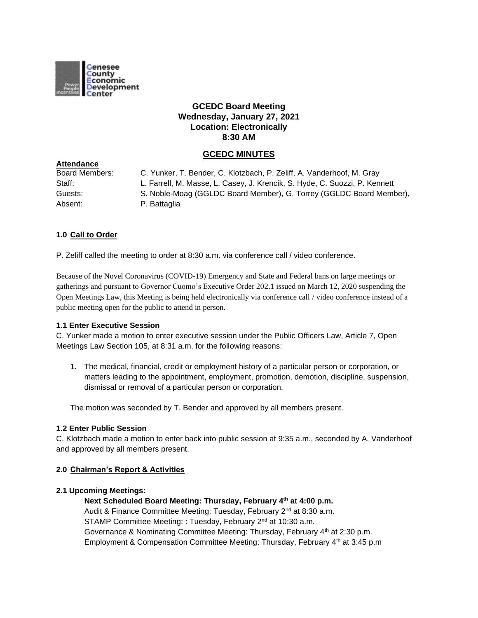

# **GCEDC Board Meeting Wednesday, January 27, 2021 Location: Electronically 8:30 AM**

# **GCEDC MINUTES**

| C. Yunker, T. Bender, C. Klotzbach, P. Zeliff, A. Vanderhoof, M. Gray      |
|----------------------------------------------------------------------------|
| L. Farrell, M. Masse, L. Casey, J. Krencik, S. Hyde, C. Suozzi, P. Kennett |
| S. Noble-Moag (GGLDC Board Member), G. Torrey (GGLDC Board Member),        |
| P. Battaglia                                                               |
|                                                                            |

## **1.0 Call to Order**

**Attendance**

P. Zeliff called the meeting to order at 8:30 a.m. via conference call / video conference.

Because of the Novel Coronavirus (COVID-19) Emergency and State and Federal bans on large meetings or gatherings and pursuant to Governor Cuomo's Executive Order 202.1 issued on March 12, 2020 suspending the Open Meetings Law, this Meeting is being held electronically via conference call / video conference instead of a public meeting open for the public to attend in person.

#### **1.1 Enter Executive Session**

C. Yunker made a motion to enter executive session under the Public Officers Law, Article 7, Open Meetings Law Section 105, at 8:31 a.m. for the following reasons:

1. The medical, financial, credit or employment history of a particular person or corporation, or matters leading to the appointment, employment, promotion, demotion, discipline, suspension, dismissal or removal of a particular person or corporation.

The motion was seconded by T. Bender and approved by all members present.

#### **1.2 Enter Public Session**

C. Klotzbach made a motion to enter back into public session at 9:35 a.m., seconded by A. Vanderhoof and approved by all members present.

#### **2.0 Chairman's Report & Activities**

#### **2.1 Upcoming Meetings:**

**Next Scheduled Board Meeting: Thursday, February 4th at 4:00 p.m.** Audit & Finance Committee Meeting: Tuesday, February 2<sup>nd</sup> at 8:30 a.m. STAMP Committee Meeting: : Tuesday, February 2<sup>nd</sup> at 10:30 a.m. Governance & Nominating Committee Meeting: Thursday, February 4<sup>th</sup> at 2:30 p.m. Employment & Compensation Committee Meeting: Thursday, February 4<sup>th</sup> at 3:45 p.m